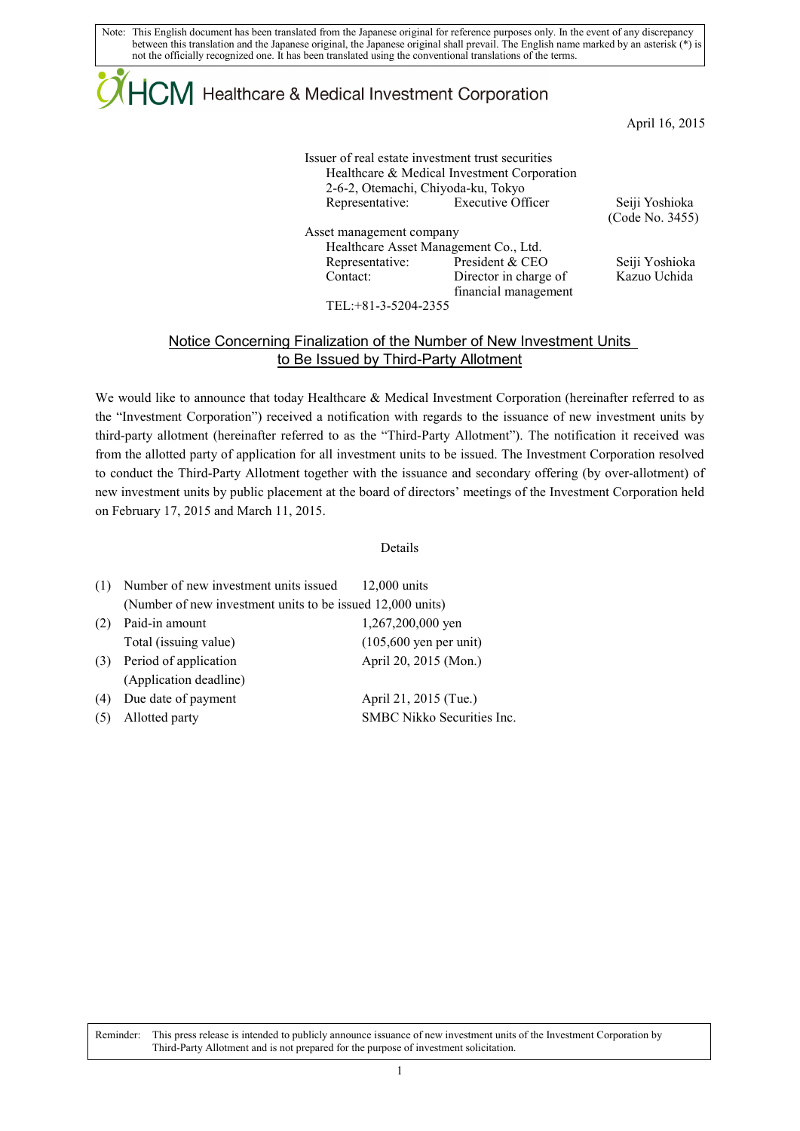Note: This English document has been translated from the Japanese original for reference purposes only. In the event of any discrepancy between this translation and the Japanese original, the Japanese original shall prevail. The English name marked by an asterisk (\*) is not the officially recognized one. It has been translated using the conventional translations of the terms.

## $\mathsf{ICM}\xspace$  Healthcare & Medical Investment Corporation

April 16, 2015

| Issuer of real estate investment trust securities<br>2-6-2, Otemachi, Chiyoda-ku, Tokyo | Healthcare & Medical Investment Corporation   |                                   |
|-----------------------------------------------------------------------------------------|-----------------------------------------------|-----------------------------------|
| Representative:                                                                         | <b>Executive Officer</b>                      | Seiji Yoshioka<br>(Code No. 3455) |
| Asset management company                                                                |                                               |                                   |
|                                                                                         | Healthcare Asset Management Co., Ltd.         |                                   |
| Representative:                                                                         | President & CEO                               | Seiji Yoshioka                    |
| Contact:                                                                                | Director in charge of<br>financial management | Kazuo Uchida                      |
| $TPT + 01.270422$                                                                       |                                               |                                   |

TEL:+81-3-5204-2355

## Notice Concerning Finalization of the Number of New Investment Units to Be Issued by Third-Party Allotment

We would like to announce that today Healthcare & Medical Investment Corporation (hereinafter referred to as the "Investment Corporation") received a notification with regards to the issuance of new investment units by third-party allotment (hereinafter referred to as the "Third-Party Allotment"). The notification it received was from the allotted party of application for all investment units to be issued. The Investment Corporation resolved to conduct the Third-Party Allotment together with the issuance and secondary offering (by over-allotment) of new investment units by public placement at the board of directors' meetings of the Investment Corporation held on February 17, 2015 and March 11, 2015.

## Details

| (1) | Number of new investment units issued                      | $12,000$ units                   |  |
|-----|------------------------------------------------------------|----------------------------------|--|
|     | (Number of new investment units to be issued 12,000 units) |                                  |  |
| (2) | Paid-in amount                                             | 1,267,200,000 yen                |  |
|     | Total (issuing value)                                      | $(105,600 \text{ yen per unit})$ |  |
| (3) | Period of application                                      | April 20, 2015 (Mon.)            |  |
|     | (Application deadline)                                     |                                  |  |
| (4) | Due date of payment                                        | April 21, 2015 (Tue.)            |  |
|     | Allotted party                                             | SMBC Nikko Securities Inc.       |  |
|     |                                                            |                                  |  |